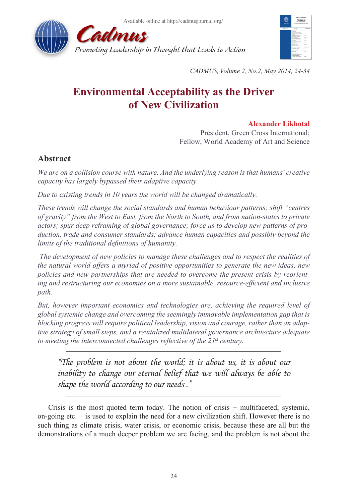



*CADMUS, Volume 2, No.2, May 2014, 24-34*

# **Environmental Acceptability as the Driver of New Civilization**

# **Alexander Likhotal**

President, Green Cross International; Fellow, World Academy of Art and Science

# **Abstract**

*We are on a collision course with nature. And the underlying reason is that humans' creative capacity has largely bypassed their adaptive capacity.* 

*Due to existing trends in 10 years the world will be changed dramatically.*

*These trends will change the social standards and human behaviour patterns; shift "centres of gravity" from the West to East, from the North to South, and from nation-states to private actors; spur deep reframing of global governance; force us to develop new patterns of production, trade and consumer standards; advance human capacities and possibly beyond the limits of the traditional definitions of humanity.*

 *The development of new policies to manage these challenges and to respect the realities of the natural world offers a myriad of positive opportunities to generate the new ideas, new policies and new partnerships that are needed to overcome the present crisis by reorienting and restructuring our economies on a more sustainable, resource-efficient and inclusive path.* 

*But, however important economics and technologies are, achieving the required level of global systemic change and overcoming the seemingly immovable implementation gap that is blocking progress will require political leadership, vision and courage, rather than an adaptive strategy of small steps, and a revitalized multilateral governance architecture adequate to meeting the interconnected challenges reflective of the 21*st *century.*

*"The problem is not about the world; it is about us, it is about our inability to change our eternal belief that we will always be able to shape the world according to our needs ."*

Crisis is the most quoted term today. The notion of crisis − multifaceted, systemic, on-going etc. − is used to explain the need for a new civilization shift. However there is no such thing as climate crisis, water crisis, or economic crisis, because these are all but the demonstrations of a much deeper problem we are facing, and the problem is not about the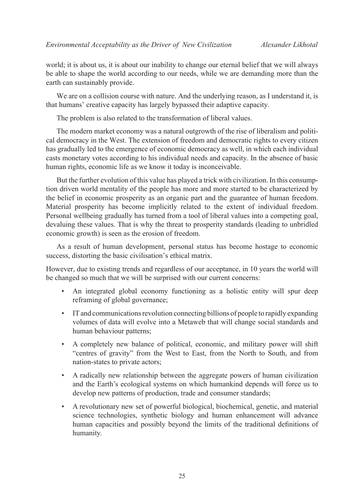world; it is about us, it is about our inability to change our eternal belief that we will always be able to shape the world according to our needs, while we are demanding more than the earth can sustainably provide.

We are on a collision course with nature. And the underlying reason, as I understand it, is that humans' creative capacity has largely bypassed their adaptive capacity.

The problem is also related to the transformation of liberal values.

The modern market economy was a natural outgrowth of the rise of liberalism and political democracy in the West. The extension of freedom and democratic rights to every citizen has gradually led to the emergence of economic democracy as well, in which each individual casts monetary votes according to his individual needs and capacity. In the absence of basic human rights, economic life as we know it today is inconceivable.

But the further evolution of this value has played a trick with civilization. In this consumption driven world mentality of the people has more and more started to be characterized by the belief in economic prosperity as an organic part and the guarantee of human freedom. Material prosperity has become implicitly related to the extent of individual freedom. Personal wellbeing gradually has turned from a tool of liberal values into a competing goal, devaluing these values. That is why the threat to prosperity standards (leading to unbridled economic growth) is seen as the erosion of freedom.

As a result of human development, personal status has become hostage to economic success, distorting the basic civilisation's ethical matrix.

However, due to existing trends and regardless of our acceptance, in 10 years the world will be changed so much that we will be surprised with our current concerns:

- An integrated global economy functioning as a holistic entity will spur deep reframing of global governance;
- IT and communications revolution connecting billions of people to rapidly expanding volumes of data will evolve into a Metaweb that will change social standards and human behaviour patterns;
- A completely new balance of political, economic, and military power will shift "centres of gravity" from the West to East, from the North to South, and from nation-states to private actors;
- A radically new relationship between the aggregate powers of human civilization and the Earth's ecological systems on which humankind depends will force us to develop new patterns of production, trade and consumer standards;
- A revolutionary new set of powerful biological, biochemical, genetic, and material science technologies, synthetic biology and human enhancement will advance human capacities and possibly beyond the limits of the traditional definitions of humanity.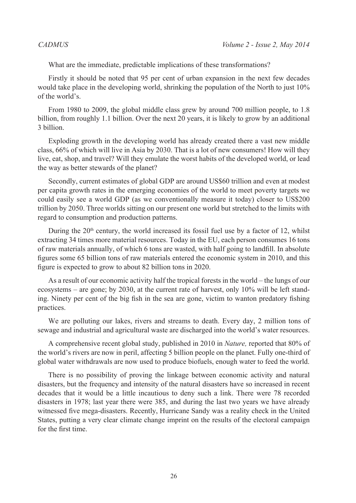What are the immediate, predictable implications of these transformations?

Firstly it should be noted that 95 per cent of urban expansion in the next few decades would take place in the developing world, shrinking the population of the North to just 10% of the world's.

From 1980 to 2009, the global middle class grew by around 700 million people, to 1.8 billion, from roughly 1.1 billion. Over the next 20 years, it is likely to grow by an additional 3 billion.

Exploding growth in the developing world has already created there a vast new middle class, 66% of which will live in Asia by 2030. That is a lot of new consumers! How will they live, eat, shop, and travel? Will they emulate the worst habits of the developed world, or lead the way as better stewards of the planet?

Secondly, current estimates of global GDP are around US\$60 trillion and even at modest per capita growth rates in the emerging economies of the world to meet poverty targets we could easily see a world GDP (as we conventionally measure it today) closer to US\$200 trillion by 2050. Three worlds sitting on our present one world but stretched to the limits with regard to consumption and production patterns.

During the  $20<sup>th</sup>$  century, the world increased its fossil fuel use by a factor of 12, whilst extracting 34 times more material resources. Today in the EU, each person consumes 16 tons of raw materials annually, of which 6 tons are wasted, with half going to landfill. In absolute figures some 65 billion tons of raw materials entered the economic system in 2010, and this figure is expected to grow to about 82 billion tons in 2020.

As a result of our economic activity half the tropical forests in the world – the lungs of our ecosystems – are gone; by 2030, at the current rate of harvest, only 10% will be left standing. Ninety per cent of the big fish in the sea are gone, victim to wanton predatory fishing practices.

We are polluting our lakes, rivers and streams to death. Every day, 2 million tons of sewage and industrial and agricultural waste are discharged into the world's water resources.

A comprehensive recent global study, published in 2010 in *Nature,* reported that 80% of the world's rivers are now in peril, affecting 5 billion people on the planet. Fully one-third of global water withdrawals are now used to produce biofuels, enough water to feed the world.

There is no possibility of proving the linkage between economic activity and natural disasters, but the frequency and intensity of the natural disasters have so increased in recent decades that it would be a little incautious to deny such a link. There were 78 recorded disasters in 1978; last year there were 385, and during the last two years we have already witnessed five mega-disasters. Recently, Hurricane Sandy was a reality check in the United States, putting a very clear climate change imprint on the results of the electoral campaign for the first time.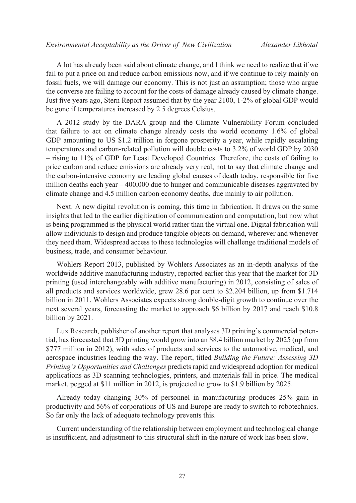A lot has already been said about climate change, and I think we need to realize that if we fail to put a price on and reduce carbon emissions now, and if we continue to rely mainly on fossil fuels, we will damage our economy. This is not just an assumption; those who argue the converse are failing to account for the costs of damage already caused by climate change. Just five years ago, Stern Report assumed that by the year 2100, 1-2% of global GDP would be gone if temperatures increased by 2.5 degrees Celsius.

A 2012 study by the DARA group and the Climate Vulnerability Forum concluded that failure to act on climate change already costs the world economy 1.6% of global GDP amounting to US \$1.2 trillion in forgone prosperity a year, while rapidly escalating temperatures and carbon-related pollution will double costs to 3.2% of world GDP by 2030 – rising to 11% of GDP for Least Developed Countries. Therefore, the costs of failing to price carbon and reduce emissions are already very real, not to say that climate change and the carbon-intensive economy are leading global causes of death today, responsible for five million deaths each year – 400,000 due to hunger and communicable diseases aggravated by climate change and 4.5 million carbon economy deaths, due mainly to air pollution.

Next. A new digital revolution is coming, this time in fabrication. It draws on the same insights that led to the earlier digitization of communication and computation, but now what is being programmed is the physical world rather than the virtual one. Digital fabrication will allow individuals to design and produce tangible objects on demand, wherever and whenever they need them. Widespread access to these technologies will challenge traditional models of business, trade, and consumer behaviour.

Wohlers Report 2013, published by Wohlers Associates as an in-depth analysis of the worldwide additive manufacturing industry, reported earlier this year that the market for 3D printing (used interchangeably with additive manufacturing) in 2012, consisting of sales of all products and services worldwide, grew 28.6 per cent to \$2.204 billion, up from \$1.714 billion in 2011. Wohlers Associates expects strong double-digit growth to continue over the next several years, forecasting the market to approach \$6 billion by 2017 and reach \$10.8 billion by 2021.

Lux Research, publisher of another report that analyses 3D printing's commercial potential, has forecasted that 3D printing would grow into an \$8.4 billion market by 2025 (up from \$777 million in 2012), with sales of products and services to the automotive, medical, and aerospace industries leading the way. The report, titled *Building the Future: Assessing 3D Printing's Opportunities and Challenges* predicts rapid and widespread adoption for medical applications as 3D scanning technologies, printers, and materials fall in price. The medical market, pegged at \$11 million in 2012, is projected to grow to \$1.9 billion by 2025.

Already today changing 30% of personnel in manufacturing produces 25% gain in productivity and 56% of corporations of US and Europe are ready to switch to robotechnics. So far only the lack of adequate technology prevents this.

Current understanding of the relationship between employment and technological change is insufficient, and adjustment to this structural shift in the nature of work has been slow.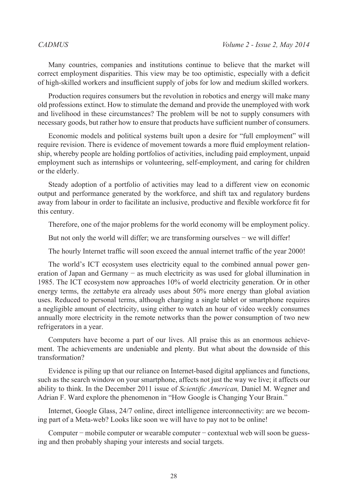Many countries, companies and institutions continue to believe that the market will correct employment disparities. This view may be too optimistic, especially with a deficit of high-skilled workers and insufficient supply of jobs for low and medium skilled workers.

Production requires consumers but the revolution in robotics and energy will make many old professions extinct. How to stimulate the demand and provide the unemployed with work and livelihood in these circumstances? The problem will be not to supply consumers with necessary goods, but rather how to ensure that products have sufficient number of consumers.

Economic models and political systems built upon a desire for "full employment" will require revision. There is evidence of movement towards a more fluid employment relationship, whereby people are holding portfolios of activities, including paid employment, unpaid employment such as internships or volunteering, self-employment, and caring for children or the elderly.

Steady adoption of a portfolio of activities may lead to a different view on economic output and performance generated by the workforce, and shift tax and regulatory burdens away from labour in order to facilitate an inclusive, productive and flexible workforce fit for this century.

Therefore, one of the major problems for the world economy will be employment policy.

But not only the world will differ; we are transforming ourselves – we will differ!

The hourly Internet traffic will soon exceed the annual internet traffic of the year 2000!

The world's ICT ecosystem uses electricity equal to the combined annual power generation of Japan and Germany − as much electricity as was used for global illumination in 1985. The ICT ecosystem now approaches 10% of world electricity generation. Or in other energy terms, the zettabyte era already uses about 50% more energy than global aviation uses. Reduced to personal terms, although charging a single tablet or smartphone requires a negligible amount of electricity, using either to watch an hour of video weekly consumes annually more electricity in the remote networks than the power consumption of two new refrigerators in a year.

Computers have become a part of our lives. All praise this as an enormous achievement. The achievements are undeniable and plenty. But what about the downside of this transformation?

Evidence is piling up that our reliance on Internet-based digital appliances and functions, such as the search window on your smartphone, affects not just the way we live; it affects our ability to think. In the December 2011 issue of *Scientific American,* Daniel M. Wegner and Adrian F. Ward explore the phenomenon in "How Google is Changing Your Brain."

Internet, Google Glass, 24/7 online, direct intelligence interconnectivity: are we becoming part of a Meta-web? Looks like soon we will have to pay not to be online!

Computer − mobile computer or wearable computer − contextual web will soon be guessing and then probably shaping your interests and social targets.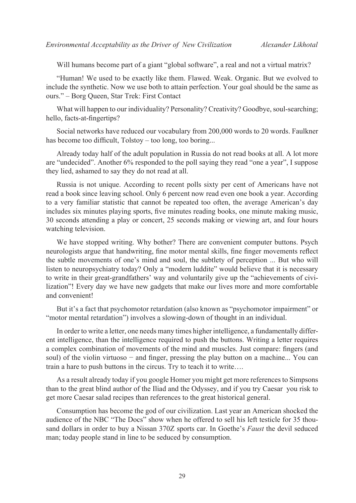Will humans become part of a giant "global software", a real and not a virtual matrix?

"Human! We used to be exactly like them. Flawed. Weak. Organic. But we evolved to include the synthetic. Now we use both to attain perfection. Your goal should be the same as ours." – Borg Queen, Star Trek: First Contact

What will happen to our individuality? Personality? Creativity? Goodbye, soul-searching: hello, facts-at-fingertips?

Social networks have reduced our vocabulary from 200,000 words to 20 words. Faulkner has become too difficult, Tolstoy – too long, too boring...

Already today half of the adult population in Russia do not read books at all. A lot more are "undecided". Another 6% responded to the poll saying they read "one a year", I suppose they lied, ashamed to say they do not read at all.

Russia is not unique. According to recent polls sixty per cent of Americans have not read a book since leaving school. Only 6 percent now read even one book a year. According to a very familiar statistic that cannot be repeated too often, the average American's day includes six minutes playing sports, five minutes reading books, one minute making music, 30 seconds attending a play or concert, 25 seconds making or viewing art, and four hours watching television.

We have stopped writing. Why bother? There are convenient computer buttons. Psych neurologists argue that handwriting, fine motor mental skills, fine finger movements reflect the subtle movements of one's mind and soul, the subtlety of perception ... But who will listen to neuropsychiatry today? Only a "modern luddite" would believe that it is necessary to write in their great-grandfathers' way and voluntarily give up the "achievements of civilization"! Every day we have new gadgets that make our lives more and more comfortable and convenient!

But it's a fact that psychomotor retardation (also known as "psychomotor impairment" or "motor mental retardation") involves a slowing-down of thought in an individual.

In order to write a letter, one needs many times higher intelligence, a fundamentally different intelligence, than the intelligence required to push the buttons. Writing a letter requires a complex combination of movements of the mind and muscles. Just compare: fingers (and soul) of the violin virtuoso – and finger, pressing the play button on a machine... You can train a hare to push buttons in the circus. Try to teach it to write….

As a result already today if you google Homer you might get more references to Simpsons than to the great blind author of the Iliad and the Odyssey, and if you try Caesar you risk to get more Caesar salad recipes than references to the great historical general.

Consumption has become the god of our civilization. Last year an American shocked the audience of the NBC "The Docs" show when he offered to sell his left testicle for 35 thousand dollars in order to buy a Nissan 370Z sports car. In Goethe's *Faust* the devil seduced man; today people stand in line to be seduced by consumption.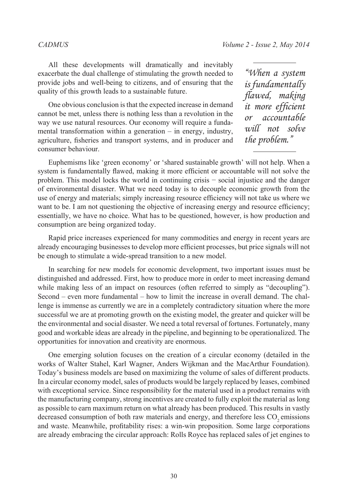All these developments will dramatically and inevitably exacerbate the dual challenge of stimulating the growth needed to provide jobs and well-being to citizens, and of ensuring that the quality of this growth leads to a sustainable future.

One obvious conclusion is that the expected increase in demand cannot be met, unless there is nothing less than a revolution in the way we use natural resources. Our economy will require a fundamental transformation within a generation – in energy, industry, agriculture, fisheries and transport systems, and in producer and consumer behaviour.

*"When a system is fundamentally flawed, making it more efficient or accountable will not solve the problem."*

Euphemisms like 'green economy' or 'shared sustainable growth' will not help. When a system is fundamentally flawed, making it more efficient or accountable will not solve the problem. This model locks the world in continuing crisis − social injustice and the danger of environmental disaster. What we need today is to decouple economic growth from the use of energy and materials; simply increasing resource efficiency will not take us where we want to be. I am not questioning the objective of increasing energy and resource efficiency; essentially, we have no choice. What has to be questioned, however, is how production and consumption are being organized today.

Rapid price increases experienced for many commodities and energy in recent years are already encouraging businesses to develop more efficient processes, but price signals will not be enough to stimulate a wide-spread transition to a new model.

In searching for new models for economic development, two important issues must be distinguished and addressed. First, how to produce more in order to meet increasing demand while making less of an impact on resources (often referred to simply as "decoupling"). Second – even more fundamental – how to limit the increase in overall demand. The challenge is immense as currently we are in a completely contradictory situation where the more successful we are at promoting growth on the existing model, the greater and quicker will be the environmental and social disaster. We need a total reversal of fortunes. Fortunately, many good and workable ideas are already in the pipeline, and beginning to be operationalized. The opportunities for innovation and creativity are enormous.

One emerging solution focuses on the creation of a circular economy (detailed in the works of Walter Stahel, Karl Wagner, Anders Wijkman and the MacArthur Foundation). Today's business models are based on maximizing the volume of sales of different products. In a circular economy model, sales of products would be largely replaced by leases, combined with exceptional service. Since responsibility for the material used in a product remains with the manufacturing company, strong incentives are created to fully exploit the material as long as possible to earn maximum return on what already has been produced. This results in vastly decreased consumption of both raw materials and energy, and therefore less CO<sub>2</sub> emissions and waste. Meanwhile, profitability rises: a win-win proposition. Some large corporations are already embracing the circular approach: Rolls Royce has replaced sales of jet engines to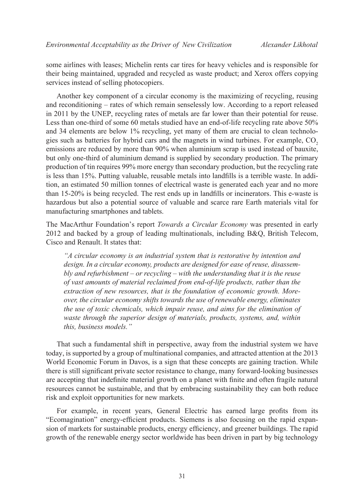some airlines with leases; Michelin rents car tires for heavy vehicles and is responsible for their being maintained, upgraded and recycled as waste product; and Xerox offers copying services instead of selling photocopiers.

Another key component of a circular economy is the maximizing of recycling, reusing and reconditioning – rates of which remain senselessly low. According to a report released in 2011 by the UNEP, recycling rates of metals are far lower than their potential for reuse. Less than one-third of some 60 metals studied have an end-of-life recycling rate above 50% and 34 elements are below 1% recycling, yet many of them are crucial to clean technologies such as batteries for hybrid cars and the magnets in wind turbines. For example,  $CO<sub>2</sub>$ emissions are reduced by more than 90% when aluminium scrap is used instead of bauxite, but only one-third of aluminium demand is supplied by secondary production. The primary production of tin requires 99% more energy than secondary production, but the recycling rate is less than 15%. Putting valuable, reusable metals into landfills is a terrible waste. In addition, an estimated 50 million tonnes of electrical waste is generated each year and no more than 15-20% is being recycled. The rest ends up in landfills or incinerators. This e-waste is hazardous but also a potential source of valuable and scarce rare Earth materials vital for manufacturing smartphones and tablets.

The MacArthur Foundation's report *Towards a Circular Economy* was presented in early 2012 and backed by a group of leading multinationals, including B&Q, British Telecom, Cisco and Renault. It states that:

*"A circular economy is an industrial system that is restorative by intention and design. In a circular economy, products are designed for ease of reuse, disassembly and refurbishment – or recycling – with the understanding that it is the reuse of vast amounts of material reclaimed from end-of-life products, rather than the extraction of new resources, that is the foundation of economic growth. Moreover, the circular economy shifts towards the use of renewable energy, eliminates the use of toxic chemicals, which impair reuse, and aims for the elimination of waste through the superior design of materials, products, systems, and, within this, business models."*

That such a fundamental shift in perspective, away from the industrial system we have today, is supported by a group of multinational companies, and attracted attention at the 2013 World Economic Forum in Davos, is a sign that these concepts are gaining traction. While there is still significant private sector resistance to change, many forward-looking businesses are accepting that indefinite material growth on a planet with finite and often fragile natural resources cannot be sustainable, and that by embracing sustainability they can both reduce risk and exploit opportunities for new markets.

For example, in recent years, General Electric has earned large profits from its "Ecomagination" energy-efficient products. Siemens is also focusing on the rapid expansion of markets for sustainable products, energy efficiency, and greener buildings. The rapid growth of the renewable energy sector worldwide has been driven in part by big technology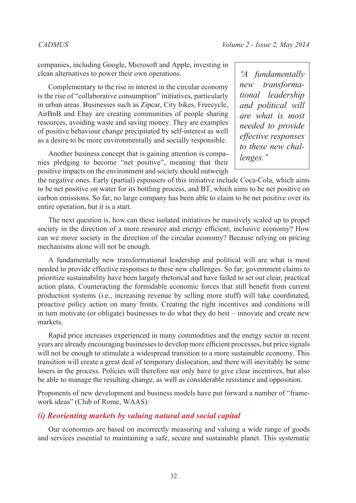companies, including Google, Microsoft and Apple, investing in clean alternatives to power their own operations.

Complementary to the rise in interest in the circular economy is the rise of "collaborative consumption" initiatives, particularly in urban areas. Businesses such as Zipcar, City bikes, Freecycle, AirBnB and Ebay are creating communities of people sharing resources, avoiding waste and saving money. They are examples of positive behaviour change precipitated by self-interest as well as a desire to be more environmentally and socially responsible.

Another business concept that is gaining attention is companies pledging to become "net positive", meaning that their positive impacts on the environment and society should outweigh

*"A fundamentally new transformational leadership and political will are what is most needed to provide effective responses to these new challenges."*

the negative ones. Early (partial) espousers of this initiative include Coca-Cola, which aims to be net positive on water for its bottling process, and BT, which aims to be net positive on carbon emissions. So far, no large company has been able to claim to be net positive over its entire operation, but it is a start.

The next question is, how can these isolated initiatives be massively scaled up to propel society in the direction of a more resource and energy efficient, inclusive economy? How can we move society in the direction of the circular economy? Because relying on pricing mechanisms alone will not be enough.

A fundamentally new transformational leadership and political will are what is most needed to provide effective responses to these new challenges. So far, government claims to prioritize sustainability have been largely rhetorical and have failed to set out clear, practical action plans. Counteracting the formidable economic forces that still benefit from current production systems (i.e., increasing revenue by selling more stuff) will take coordinated, proactive policy action on many fronts. Creating the right incentives and conditions will in turn motivate (or obligate) businesses to do what they do best – innovate and create new markets.

Rapid price increases experienced in many commodities and the energy sector in recent years are already encouraging businesses to develop more efficient processes, but price signals will not be enough to stimulate a widespread transition to a more sustainable economy. This transition will create a great deal of temporary dislocation, and there will inevitably be some losers in the process. Policies will therefore not only have to give clear incentives, but also be able to manage the resulting change, as well as considerable resistance and opposition.

Proponents of new development and business models have put forward a number of "framework ideas" (Club of Rome, WAAS):

## *(i) Reorienting markets by valuing natural and social capital*

Our economies are based on incorrectly measuring and valuing a wide range of goods and services essential to maintaining a safe, secure and sustainable planet. This systematic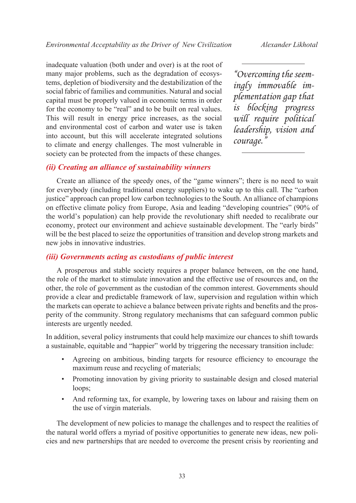inadequate valuation (both under and over) is at the root of many major problems, such as the degradation of ecosystems, depletion of biodiversity and the destabilization of the social fabric of families and communities. Natural and social capital must be properly valued in economic terms in order for the economy to be "real" and to be built on real values. This will result in energy price increases, as the social and environmental cost of carbon and water use is taken into account, but this will accelerate integrated solutions to climate and energy challenges. The most vulnerable in society can be protected from the impacts of these changes.

*"Overcoming the seemingly immovable implementation gap that is blocking progress will require political leadership, vision and courage."*

# *(ii) Creating an alliance of sustainability winners*

Create an alliance of the speedy ones, of the "game winners"; there is no need to wait for everybody (including traditional energy suppliers) to wake up to this call. The "carbon justice" approach can propel low carbon technologies to the South. An alliance of champions on effective climate policy from Europe, Asia and leading "developing countries" (90% of the world's population) can help provide the revolutionary shift needed to recalibrate our economy, protect our environment and achieve sustainable development. The "early birds" will be the best placed to seize the opportunities of transition and develop strong markets and new jobs in innovative industries.

### *(iii) Governments acting as custodians of public interest*

A prosperous and stable society requires a proper balance between, on the one hand, the role of the market to stimulate innovation and the effective use of resources and, on the other, the role of government as the custodian of the common interest. Governments should provide a clear and predictable framework of law, supervision and regulation within which the markets can operate to achieve a balance between private rights and benefits and the prosperity of the community. Strong regulatory mechanisms that can safeguard common public interests are urgently needed.

In addition, several policy instruments that could help maximize our chances to shift towards a sustainable, equitable and "happier" world by triggering the necessary transition include:

- Agreeing on ambitious, binding targets for resource efficiency to encourage the maximum reuse and recycling of materials;
- Promoting innovation by giving priority to sustainable design and closed material loops;
- And reforming tax, for example, by lowering taxes on labour and raising them on the use of virgin materials.

The development of new policies to manage the challenges and to respect the realities of the natural world offers a myriad of positive opportunities to generate new ideas, new policies and new partnerships that are needed to overcome the present crisis by reorienting and